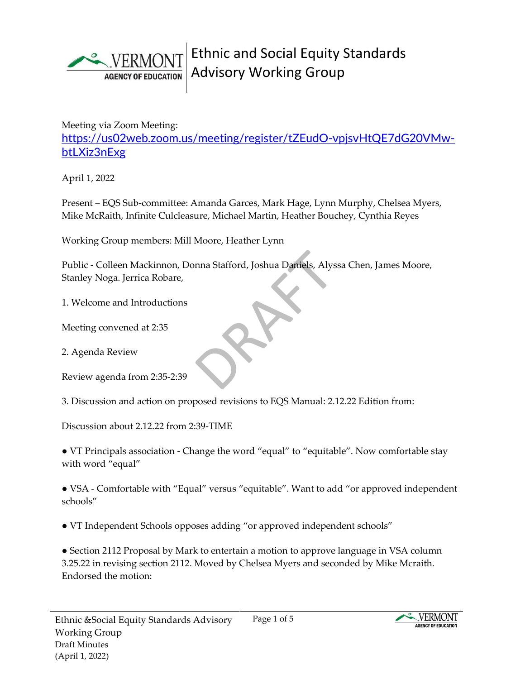

Meeting via Zoom Meeting:

[https://us02web.zoom.us/meeting/register/tZEudO-vpjsvHtQE7dG20VMw](https://us02web.zoom.us/meeting/register/tZEudO-vpjsvHtQE7dG20VMw-btLXiz3nExg)[btLXiz3nExg](https://us02web.zoom.us/meeting/register/tZEudO-vpjsvHtQE7dG20VMw-btLXiz3nExg)

April 1, 2022

Present – EQS Sub-committee: Amanda Garces, Mark Hage, Lynn Murphy, Chelsea Myers, Mike McRaith, Infinite Culcleasure, Michael Martin, Heather Bouchey, Cynthia Reyes

Working Group members: Mill Moore, Heather Lynn

Public - Colleen Mackinnon, Donna Stafford, Joshua Daniels, Alyssa Chen, James Moore, Stanley Noga. Jerrica Robare,

1. Welcome and Introductions

Meeting convened at 2:35

2. Agenda Review

Review agenda from 2:35-2:39

3. Discussion and action on proposed revisions to EQS Manual: 2.12.22 Edition from:

Discussion about 2.12.22 from 2:39-TIME

● VT Principals association - Change the word "equal" to "equitable". Now comfortable stay with word "equal"

● VSA - Comfortable with "Equal" versus "equitable". Want to add "or approved independent schools"

● VT Independent Schools opposes adding "or approved independent schools"

● Section 2112 Proposal by Mark to entertain a motion to approve language in VSA column 3.25.22 in revising section 2112. Moved by Chelsea Myers and seconded by Mike Mcraith. Endorsed the motion:

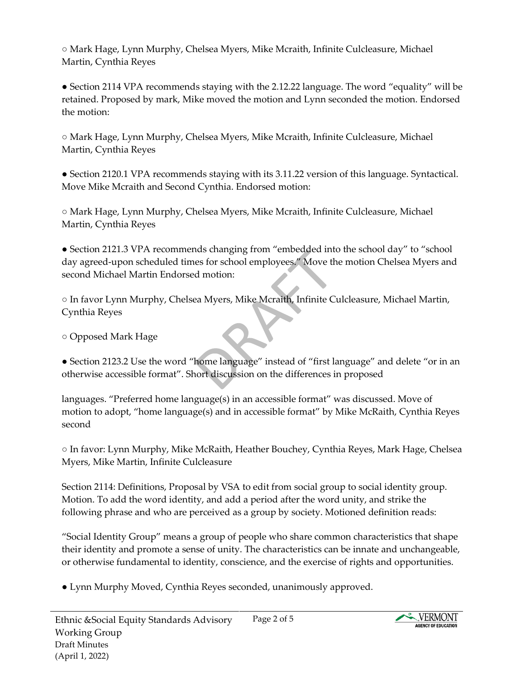○ Mark Hage, Lynn Murphy, Chelsea Myers, Mike Mcraith, Infinite Culcleasure, Michael Martin, Cynthia Reyes

● Section 2114 VPA recommends staying with the 2.12.22 language. The word "equality" will be retained. Proposed by mark, Mike moved the motion and Lynn seconded the motion. Endorsed the motion:

○ Mark Hage, Lynn Murphy, Chelsea Myers, Mike Mcraith, Infinite Culcleasure, Michael Martin, Cynthia Reyes

● Section 2120.1 VPA recommends staying with its 3.11.22 version of this language. Syntactical. Move Mike Mcraith and Second Cynthia. Endorsed motion:

○ Mark Hage, Lynn Murphy, Chelsea Myers, Mike Mcraith, Infinite Culcleasure, Michael Martin, Cynthia Reyes

● Section 2121.3 VPA recommends changing from "embedded into the school day" to "school day agreed-upon scheduled times for school employees." Move the motion Chelsea Myers and second Michael Martin Endorsed motion:

○ In favor Lynn Murphy, Chelsea Myers, Mike Mcraith, Infinite Culcleasure, Michael Martin, Cynthia Reyes

○ Opposed Mark Hage

● Section 2123.2 Use the word "home language" instead of "first language" and delete "or in an otherwise accessible format". Short discussion on the differences in proposed

languages. "Preferred home language(s) in an accessible format" was discussed. Move of motion to adopt, "home language(s) and in accessible format" by Mike McRaith, Cynthia Reyes second

○ In favor: Lynn Murphy, Mike McRaith, Heather Bouchey, Cynthia Reyes, Mark Hage, Chelsea Myers, Mike Martin, Infinite Culcleasure

Section 2114: Definitions, Proposal by VSA to edit from social group to social identity group. Motion. To add the word identity, and add a period after the word unity, and strike the following phrase and who are perceived as a group by society. Motioned definition reads:

"Social Identity Group" means a group of people who share common characteristics that shape their identity and promote a sense of unity. The characteristics can be innate and unchangeable, or otherwise fundamental to identity, conscience, and the exercise of rights and opportunities.

● Lynn Murphy Moved, Cynthia Reyes seconded, unanimously approved.

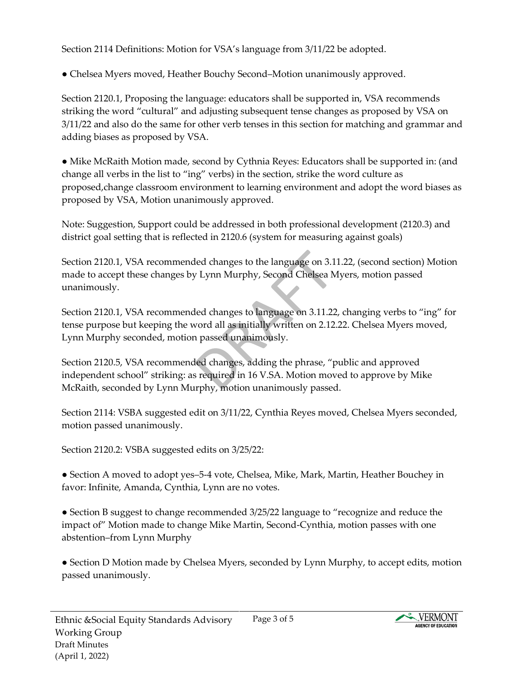Section 2114 Definitions: Motion for VSA's language from 3/11/22 be adopted.

● Chelsea Myers moved, Heather Bouchy Second–Motion unanimously approved.

Section 2120.1, Proposing the language: educators shall be supported in, VSA recommends striking the word "cultural" and adjusting subsequent tense changes as proposed by VSA on 3/11/22 and also do the same for other verb tenses in this section for matching and grammar and adding biases as proposed by VSA.

● Mike McRaith Motion made, second by Cythnia Reyes: Educators shall be supported in: (and change all verbs in the list to "ing" verbs) in the section, strike the word culture as proposed,change classroom environment to learning environment and adopt the word biases as proposed by VSA, Motion unanimously approved.

Note: Suggestion, Support could be addressed in both professional development (2120.3) and district goal setting that is reflected in 2120.6 (system for measuring against goals)

Section 2120.1, VSA recommended changes to the language on 3.11.22, (second section) Motion made to accept these changes by Lynn Murphy, Second Chelsea Myers, motion passed unanimously.

Section 2120.1, VSA recommended changes to language on 3.11.22, changing verbs to "ing" for tense purpose but keeping the word all as initially written on 2.12.22. Chelsea Myers moved, Lynn Murphy seconded, motion passed unanimously.

Section 2120.5, VSA recommended changes, adding the phrase, "public and approved independent school" striking: as required in 16 V.SA. Motion moved to approve by Mike McRaith, seconded by Lynn Murphy, motion unanimously passed.

Section 2114: VSBA suggested edit on 3/11/22, Cynthia Reyes moved, Chelsea Myers seconded, motion passed unanimously.

Section 2120.2: VSBA suggested edits on 3/25/22:

• Section A moved to adopt yes–5-4 vote, Chelsea, Mike, Mark, Martin, Heather Bouchey in favor: Infinite, Amanda, Cynthia, Lynn are no votes.

● Section B suggest to change recommended 3/25/22 language to "recognize and reduce the impact of" Motion made to change Mike Martin, Second-Cynthia, motion passes with one abstention–from Lynn Murphy

● Section D Motion made by Chelsea Myers, seconded by Lynn Murphy, to accept edits, motion passed unanimously.

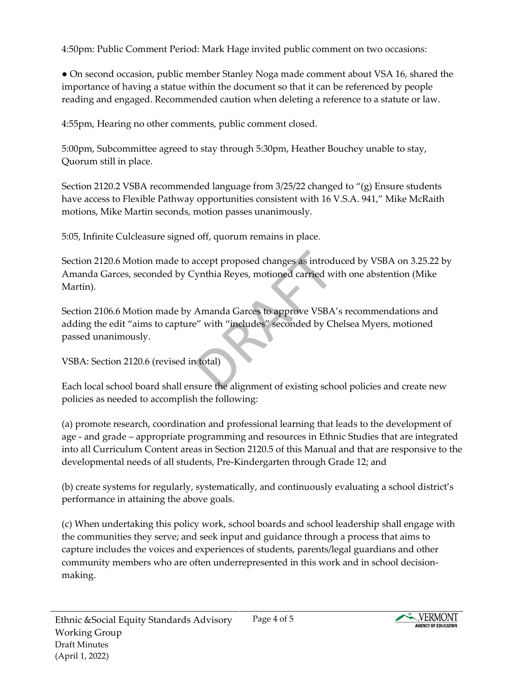4:50pm: Public Comment Period: Mark Hage invited public comment on two occasions:

• On second occasion, public member Stanley Noga made comment about VSA 16, shared the importance of having a statue within the document so that it can be referenced by people reading and engaged. Recommended caution when deleting a reference to a statute or law.

4:55pm, Hearing no other comments, public comment closed.

5:00pm, Subcommittee agreed to stay through 5:30pm, Heather Bouchey unable to stay, Quorum still in place.

Section 2120.2 VSBA recommended language from 3/25/22 changed to "(g) Ensure students have access to Flexible Pathway opportunities consistent with 16 V.S.A. 941," Mike McRaith motions, Mike Martin seconds, motion passes unanimously.

5:05, Infinite Culcleasure signed off, quorum remains in place.

Section 2120.6 Motion made to accept proposed changes as introduced by VSBA on 3.25.22 by Amanda Garces, seconded by Cynthia Reyes, motioned carried with one abstention (Mike Martin).

Section 2106.6 Motion made by Amanda Garces to approve VSBA's recommendations and adding the edit "aims to capture" with "includes" seconded by Chelsea Myers, motioned passed unanimously.

VSBA: Section 2120.6 (revised in total)

Each local school board shall ensure the alignment of existing school policies and create new policies as needed to accomplish the following:

(a) promote research, coordination and professional learning that leads to the development of age - and grade – appropriate programming and resources in Ethnic Studies that are integrated into all Curriculum Content areas in Section 2120.5 of this Manual and that are responsive to the developmental needs of all students, Pre-Kindergarten through Grade 12; and

(b) create systems for regularly, systematically, and continuously evaluating a school district's performance in attaining the above goals.

(c) When undertaking this policy work, school boards and school leadership shall engage with the communities they serve; and seek input and guidance through a process that aims to capture includes the voices and experiences of students, parents/legal guardians and other community members who are often underrepresented in this work and in school decisionmaking.